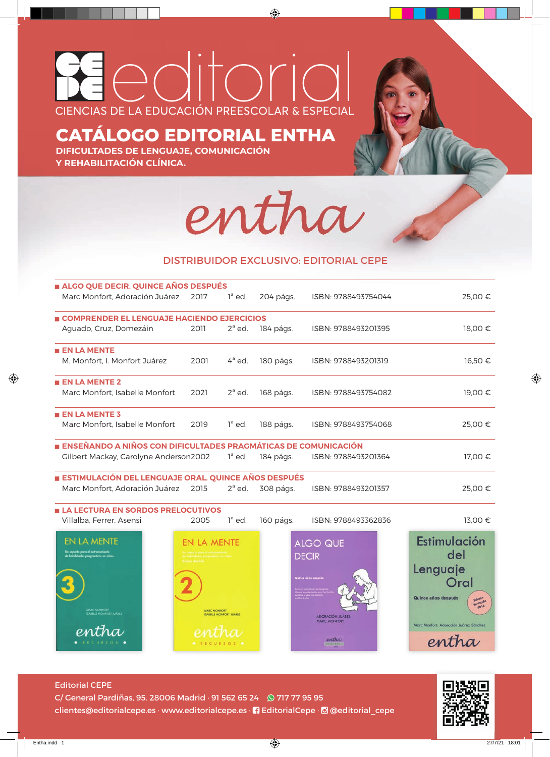## leditoric CIENCIAS DE LA EDUCACIÓN PREESCOLAR & ESPECIAL

## **CATÁLOGO EDITORIAL ENTHA**

**DIFICULTADES DE LENGUAJE, COMUNICACIÓN Y REHABILITACIÓN CLÍNICA.**



## DISTRIBUIDOR EXCLUSIVO: EDITORIAL CEPE

| ALGO QUE DECIR. QUINCE AÑOS DESPUÉS                            |      |           |           |                     |         |
|----------------------------------------------------------------|------|-----------|-----------|---------------------|---------|
| Marc Monfort, Adoración Juárez                                 | 2017 | $1^a$ ed. | 204 págs. | ISBN: 9788493754044 | 25,00 € |
| <b>E COMPRENDER EL LENGUAJE HACIENDO EJERCICIOS</b>            |      |           |           |                     |         |
| Aguado, Cruz, Domezáin                                         | 2011 | $2^a$ ed. | 184 págs. | ISBN: 9788493201395 | 18,00 € |
| $\blacksquare$ EN LA MENTE                                     |      |           |           |                     |         |
| M. Monfort, I. Monfort Juárez                                  | 2001 | $4^a$ ed. | 180 págs. | ISBN: 9788493201319 | 16,50 € |
| $\blacksquare$ EN LA MENTE 2                                   |      |           |           |                     |         |
| Marc Monfort, Isabelle Monfort                                 | 2021 | $2^a$ ed. | 168 págs. | ISBN: 9788493754082 | 19,00 € |
| $\blacksquare$ EN LA MENTE 3                                   |      |           |           |                     |         |
| Marc Monfort. Isabelle Monfort                                 | 2019 | $1^a$ ed. | 188 págs. | ISBN: 9788493754068 | 25,00 € |
| ENSEÑANDO A NIÑOS CON DIFICULTADES PRAGMÁTICAS DE COMUNICACIÓN |      |           |           |                     |         |
| Gilbert Mackay, Carolyne Anderson2002                          |      | $1^a$ ed. | 184 págs. | ISBN: 9788493201364 | 17,00 € |
| ESTIMULACIÓN DEL LENGUAJE ORAL. QUINCE AÑOS DESPUÉS            |      |           |           |                     |         |
| Marc Monfort, Adoración Juárez 2015                            |      | $2^a$ ed. | 308 págs. | ISBN: 9788493201357 | 25,00 € |
| <b>E LA LECTURA EN SORDOS PRELOCUTIVOS</b>                     |      |           |           |                     |         |



Editorial CEPE C/ General Pardiñas, 95. 28006 Madrid · 91 562 65 24 9 717 77 95 95 clientes@editorialcepe.es · www.editorialcepe.es · **1** EditorialCepe · *@* @editorial\_cepe